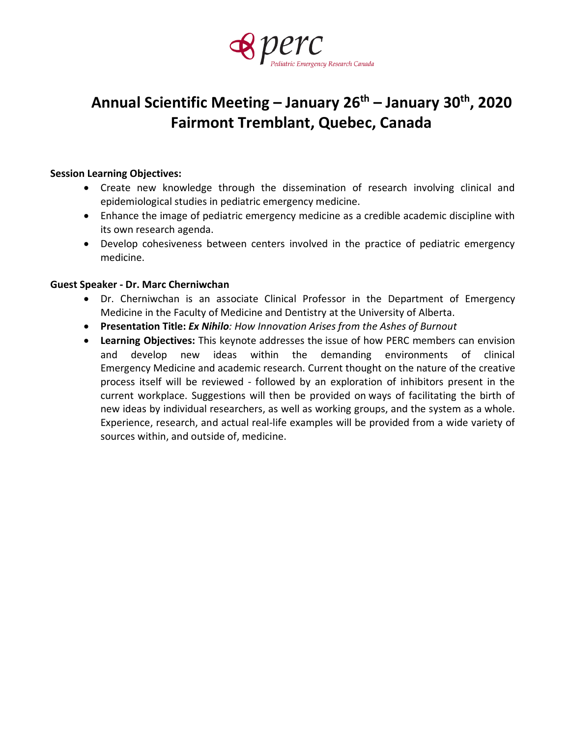

# **Annual Scientific Meeting – January 26th – January 30th, 2020 Fairmont Tremblant, Quebec, Canada**

### **Session Learning Objectives:**

- Create new knowledge through the dissemination of research involving clinical and epidemiological studies in pediatric emergency medicine.
- Enhance the image of pediatric emergency medicine as a credible academic discipline with its own research agenda.
- Develop cohesiveness between centers involved in the practice of pediatric emergency medicine.

### **Guest Speaker - Dr. Marc Cherniwchan**

- Dr. Cherniwchan is an associate Clinical Professor in the Department of Emergency Medicine in the Faculty of Medicine and Dentistry at the University of Alberta.
- **Presentation Title:** *Ex Nihilo: How Innovation Arises from the Ashes of Burnout*
- **Learning Objectives:** This keynote addresses the issue of how PERC members can envision and develop new ideas within the demanding environments of clinical Emergency Medicine and academic research. Current thought on the nature of the creative process itself will be reviewed - followed by an exploration of inhibitors present in the current workplace. Suggestions will then be provided on ways of facilitating the birth of new ideas by individual researchers, as well as working groups, and the system as a whole. Experience, research, and actual real-life examples will be provided from a wide variety of sources within, and outside of, medicine.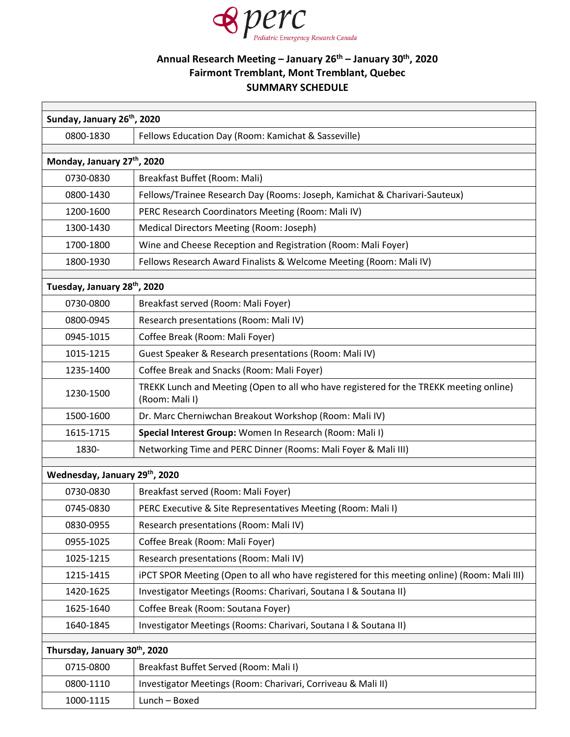

Г

## **Annual Research Meeting – January 26th – January 30th, 2020 Fairmont Tremblant, Mont Tremblant, Quebec SUMMARY SCHEDULE**

| Sunday, January 26 <sup>th</sup> , 2020                             |                                                                                                          |  |
|---------------------------------------------------------------------|----------------------------------------------------------------------------------------------------------|--|
| 0800-1830                                                           | Fellows Education Day (Room: Kamichat & Sasseville)                                                      |  |
|                                                                     |                                                                                                          |  |
| Monday, January 27th, 2020                                          |                                                                                                          |  |
| 0730-0830                                                           | Breakfast Buffet (Room: Mali)                                                                            |  |
| 0800-1430                                                           | Fellows/Trainee Research Day (Rooms: Joseph, Kamichat & Charivari-Sauteux)                               |  |
| 1200-1600                                                           | PERC Research Coordinators Meeting (Room: Mali IV)                                                       |  |
| 1300-1430                                                           | Medical Directors Meeting (Room: Joseph)                                                                 |  |
| 1700-1800                                                           | Wine and Cheese Reception and Registration (Room: Mali Foyer)                                            |  |
| 1800-1930                                                           | Fellows Research Award Finalists & Welcome Meeting (Room: Mali IV)                                       |  |
| Tuesday, January 28th, 2020                                         |                                                                                                          |  |
| 0730-0800                                                           | Breakfast served (Room: Mali Foyer)                                                                      |  |
| 0800-0945                                                           | Research presentations (Room: Mali IV)                                                                   |  |
| 0945-1015                                                           | Coffee Break (Room: Mali Foyer)                                                                          |  |
| 1015-1215                                                           | Guest Speaker & Research presentations (Room: Mali IV)                                                   |  |
| 1235-1400                                                           | Coffee Break and Snacks (Room: Mali Foyer)                                                               |  |
| 1230-1500                                                           | TREKK Lunch and Meeting (Open to all who have registered for the TREKK meeting online)<br>(Room: Mali I) |  |
| Dr. Marc Cherniwchan Breakout Workshop (Room: Mali IV)<br>1500-1600 |                                                                                                          |  |
| 1615-1715                                                           | Special Interest Group: Women In Research (Room: Mali I)                                                 |  |
| 1830-                                                               | Networking Time and PERC Dinner (Rooms: Mali Foyer & Mali III)                                           |  |
| Wednesday, January 29th, 2020                                       |                                                                                                          |  |
| 0730-0830                                                           | Breakfast served (Room: Mali Foyer)                                                                      |  |
| 0745-0830                                                           | PERC Executive & Site Representatives Meeting (Room: Mali I)                                             |  |
| 0830-0955                                                           | Research presentations (Room: Mali IV)                                                                   |  |
| 0955-1025                                                           | Coffee Break (Room: Mali Foyer)                                                                          |  |
| 1025-1215                                                           | Research presentations (Room: Mali IV)                                                                   |  |
| 1215-1415                                                           | iPCT SPOR Meeting (Open to all who have registered for this meeting online) (Room: Mali III)             |  |
| 1420-1625                                                           | Investigator Meetings (Rooms: Charivari, Soutana I & Soutana II)                                         |  |
| 1625-1640                                                           | Coffee Break (Room: Soutana Foyer)                                                                       |  |
| 1640-1845                                                           | Investigator Meetings (Rooms: Charivari, Soutana I & Soutana II)                                         |  |
|                                                                     |                                                                                                          |  |
| Thursday, January 30th, 2020                                        |                                                                                                          |  |
| 0715-0800                                                           | Breakfast Buffet Served (Room: Mali I)                                                                   |  |
| 0800-1110                                                           | Investigator Meetings (Room: Charivari, Corriveau & Mali II)                                             |  |
| 1000-1115                                                           | Lunch - Boxed                                                                                            |  |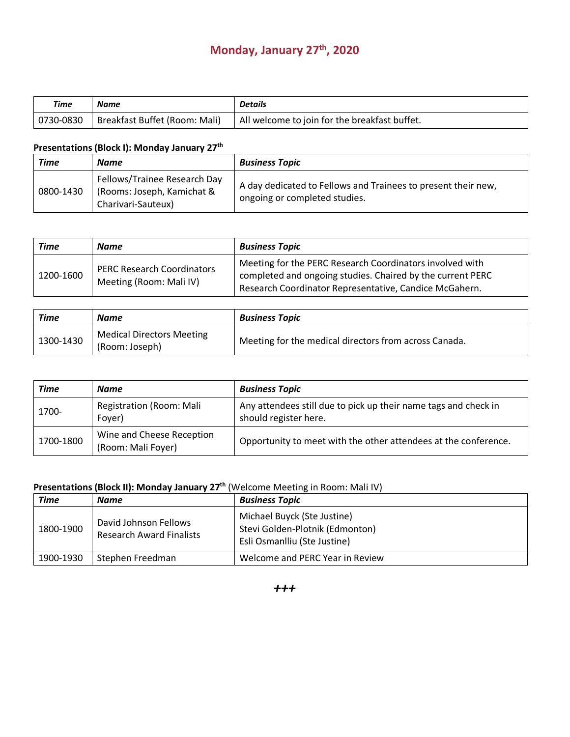# **Monday, January 27th, 2020**

| Time      | Name                          | <b>Details</b>                                             |
|-----------|-------------------------------|------------------------------------------------------------|
| 0730-0830 | Breakfast Buffet (Room: Mali) | <sup>1</sup> All welcome to join for the breakfast buffet. |

## **Presentations (Block I): Monday January 27th**

| <b>Time</b> | <b>Name</b>                                                                      | <b>Business Topic</b>                                                                          |
|-------------|----------------------------------------------------------------------------------|------------------------------------------------------------------------------------------------|
| 0800-1430   | Fellows/Trainee Research Day<br>(Rooms: Joseph, Kamichat &<br>Charivari-Sauteux) | A day dedicated to Fellows and Trainees to present their new,<br>ongoing or completed studies. |

| <b>Time</b> | Name                                                         | <b>Business Topic</b>                                                                                                                                                            |
|-------------|--------------------------------------------------------------|----------------------------------------------------------------------------------------------------------------------------------------------------------------------------------|
| 1200-1600   | <b>PERC Research Coordinators</b><br>Meeting (Room: Mali IV) | Meeting for the PERC Research Coordinators involved with<br>completed and ongoing studies. Chaired by the current PERC<br>Research Coordinator Representative, Candice McGahern. |

| Time      | <b>Name</b>                                        | <b>Business Topic</b>                                 |
|-----------|----------------------------------------------------|-------------------------------------------------------|
| 1300-1430 | <b>Medical Directors Meeting</b><br>(Room: Joseph) | Meeting for the medical directors from across Canada. |

| Time      | <b>Name</b>                                     | <b>Business Topic</b>                                                                    |
|-----------|-------------------------------------------------|------------------------------------------------------------------------------------------|
| 1700-     | Registration (Room: Mali<br>Foyer)              | Any attendees still due to pick up their name tags and check in<br>should register here. |
| 1700-1800 | Wine and Cheese Reception<br>(Room: Mali Foyer) | Opportunity to meet with the other attendees at the conference.                          |

# **Presentations (Block II): Monday January 27<sup>th</sup> (Welcome Meeting in Room: Mali IV)**

| Time      | <b>Name</b>                                              | <b>Business Topic</b>                                                                          |
|-----------|----------------------------------------------------------|------------------------------------------------------------------------------------------------|
| 1800-1900 | David Johnson Fellows<br><b>Research Award Finalists</b> | Michael Buyck (Ste Justine)<br>Stevi Golden-Plotnik (Edmonton)<br>Esli Osmanlliu (Ste Justine) |
| 1900-1930 | Stephen Freedman                                         | Welcome and PERC Year in Review                                                                |

*+++*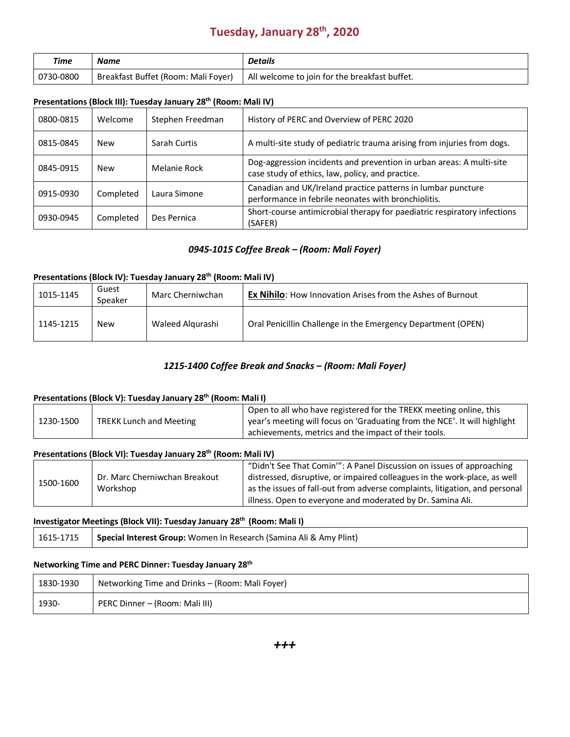# **Tuesday, January 28th, 2020**

| Time                                             | Name | <b>Details</b>                                |
|--------------------------------------------------|------|-----------------------------------------------|
| Breakfast Buffet (Room: Mali Foyer)<br>0730-0800 |      | All welcome to join for the breakfast buffet. |

### **Presentations (Block III): Tuesday January 28th (Room: Mali IV)**

| 0800-0815 | Welcome    | Stephen Freedman | History of PERC and Overview of PERC 2020                                                                                |
|-----------|------------|------------------|--------------------------------------------------------------------------------------------------------------------------|
| 0815-0845 | <b>New</b> | Sarah Curtis     | A multi-site study of pediatric trauma arising from injuries from dogs.                                                  |
| 0845-0915 | <b>New</b> | Melanie Rock     | Dog-aggression incidents and prevention in urban areas: A multi-site<br>case study of ethics, law, policy, and practice. |
| 0915-0930 | Completed  | Laura Simone     | Canadian and UK/Ireland practice patterns in lumbar puncture<br>performance in febrile neonates with bronchiolitis.      |
| 0930-0945 | Completed  | Des Pernica      | Short-course antimicrobial therapy for paediatric respiratory infections<br>(SAFER)                                      |

### *0945-1015 Coffee Break – (Room: Mali Foyer)*

### **Presentations (Block IV): Tuesday January 28th (Room: Mali IV)**

| 1015-1145 | Guest<br>Speaker | Marc Cherniwchan | <b>Ex Nihilo:</b> How Innovation Arises from the Ashes of Burnout |
|-----------|------------------|------------------|-------------------------------------------------------------------|
| 1145-1215 | <b>New</b>       | Waleed Algurashi | Oral Penicillin Challenge in the Emergency Department (OPEN)      |

### *1215-1400 Coffee Break and Snacks – (Room: Mali Foyer)*

### **Presentations (Block V): Tuesday January 28th (Room: Mali I)**

| Open to all who have registered for the TREKK meeting online, this<br>year's meeting will focus on 'Graduating from the NCE'. It will highlight<br>1230-1500<br><b>TREKK Lunch and Meeting</b><br>achievements, metrics and the impact of their tools. |  |
|--------------------------------------------------------------------------------------------------------------------------------------------------------------------------------------------------------------------------------------------------------|--|
|--------------------------------------------------------------------------------------------------------------------------------------------------------------------------------------------------------------------------------------------------------|--|

### **Presentations (Block VI): Tuesday January 28th (Room: Mali IV)**

|  |                               |                                                                           | "Didn't See That Comin'": A Panel Discussion on issues of approaching       |
|--|-------------------------------|---------------------------------------------------------------------------|-----------------------------------------------------------------------------|
|  | Dr. Marc Cherniwchan Breakout | distressed, disruptive, or impaired colleagues in the work-place, as well |                                                                             |
|  | 1500-1600                     | Workshop                                                                  | as the issues of fall-out from adverse complaints, litigation, and personal |
|  |                               | illness. Open to everyone and moderated by Dr. Samina Ali.                |                                                                             |

### **Investigator Meetings (Block VII): Tuesday January 28th (Room: Mali I)**

| 1615-1715   Special Interest Group: Women In Research (Samina Ali & Amy Plint) |  |
|--------------------------------------------------------------------------------|--|
|--------------------------------------------------------------------------------|--|

#### **Networking Time and PERC Dinner: Tuesday January 28th**

| 1830-1930 | Networking Time and Drinks - (Room: Mali Foyer) |
|-----------|-------------------------------------------------|
| 1930-     | PERC Dinner – (Room: Mali III)                  |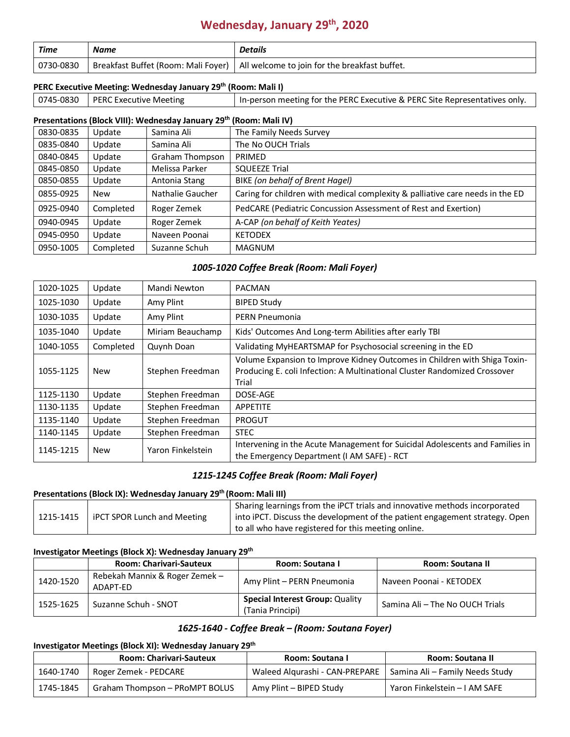# **Wednesday, January 29th, 2020**

| Time      | <b>Name</b>                         | <b>Details</b>                                |
|-----------|-------------------------------------|-----------------------------------------------|
| 0730-0830 | Breakfast Buffet (Room: Mali Foyer) | All welcome to join for the breakfast buffet. |

### **PERC Executive Meeting: Wednesday January 29th (Room: Mali I)**

| $ 0745-0830 $ | PERC Executive Meeting |  | In-person meeting for the PERC Executive & PERC Site Representatives only. |
|---------------|------------------------|--|----------------------------------------------------------------------------|

## **Presentations (Block VIII): Wednesday January 29th (Room: Mali IV)**

| 0830-0835 | Update    | Samina Ali             | The Family Needs Survey                                                       |  |
|-----------|-----------|------------------------|-------------------------------------------------------------------------------|--|
| 0835-0840 | Update    | Samina Ali             | The No OUCH Trials                                                            |  |
| 0840-0845 | Update    | <b>Graham Thompson</b> | PRIMED                                                                        |  |
| 0845-0850 | Update    | Melissa Parker         | <b>SQUEEZE Trial</b>                                                          |  |
| 0850-0855 | Update    | Antonia Stang          | BIKE (on behalf of Brent Hagel)                                               |  |
| 0855-0925 | New       | Nathalie Gaucher       | Caring for children with medical complexity & palliative care needs in the ED |  |
| 0925-0940 | Completed | Roger Zemek            | PedCARE (Pediatric Concussion Assessment of Rest and Exertion)                |  |
| 0940-0945 | Update    | Roger Zemek            | A-CAP (on behalf of Keith Yeates)                                             |  |
| 0945-0950 | Update    | Naveen Poonai          | <b>KETODEX</b>                                                                |  |
| 0950-1005 | Completed | Suzanne Schuh          | <b>MAGNUM</b>                                                                 |  |

#### *1005-1020 Coffee Break (Room: Mali Foyer)*

| 1020-1025 | Update     | Mandi Newton      | <b>PACMAN</b>                                                                                                                                                   |  |
|-----------|------------|-------------------|-----------------------------------------------------------------------------------------------------------------------------------------------------------------|--|
| 1025-1030 | Update     | Amy Plint         | <b>BIPED Study</b>                                                                                                                                              |  |
| 1030-1035 | Update     | Amy Plint         | PERN Pneumonia                                                                                                                                                  |  |
| 1035-1040 | Update     | Miriam Beauchamp  | Kids' Outcomes And Long-term Abilities after early TBI                                                                                                          |  |
| 1040-1055 | Completed  | Quynh Doan        | Validating MyHEARTSMAP for Psychosocial screening in the ED                                                                                                     |  |
| 1055-1125 | New        | Stephen Freedman  | Volume Expansion to Improve Kidney Outcomes in Children with Shiga Toxin-<br>Producing E. coli Infection: A Multinational Cluster Randomized Crossover<br>Trial |  |
| 1125-1130 | Update     | Stephen Freedman  | DOSE-AGE                                                                                                                                                        |  |
| 1130-1135 | Update     | Stephen Freedman  | APPETITE                                                                                                                                                        |  |
| 1135-1140 | Update     | Stephen Freedman  | PROGUT                                                                                                                                                          |  |
| 1140-1145 | Update     | Stephen Freedman  | <b>STEC</b>                                                                                                                                                     |  |
| 1145-1215 | <b>New</b> | Yaron Finkelstein | Intervening in the Acute Management for Suicidal Adolescents and Families in<br>the Emergency Department (I AM SAFE) - RCT                                      |  |

### *1215-1245 Coffee Break (Room: Mali Foyer)*

#### **Presentations (Block IX): Wednesday January 29th (Room: Mali III)**

|           |                                    | Sharing learnings from the iPCT trials and innovative methods incorporated    |
|-----------|------------------------------------|-------------------------------------------------------------------------------|
| 1215-1415 | <b>iPCT SPOR Lunch and Meeting</b> | i into iPCT. Discuss the development of the patient engagement strategy. Open |
|           |                                    | to all who have registered for this meeting online.                           |

#### **Investigator Meetings (Block X): Wednesday January 29th**

|           | <b>Room: Charivari-Sauteux</b>             | Room: Soutana I                                            | Room: Soutana II                |
|-----------|--------------------------------------------|------------------------------------------------------------|---------------------------------|
| 1420-1520 | Rebekah Mannix & Roger Zemek -<br>ADAPT-FD | Amy Plint - PERN Pneumonia                                 | Naveen Poonai - KETODEX         |
| 1525-1625 | Suzanne Schuh - SNOT                       | <b>Special Interest Group: Quality</b><br>(Tania Principi) | Samina Ali - The No OUCH Trials |

### *1625-1640 - Coffee Break – (Room: Soutana Foyer)*

### **Investigator Meetings (Block XI): Wednesday January 29th**

|           | <b>Room: Charivari-Sauteux</b> | Room: Soutana I                | Room: Soutana II                       |
|-----------|--------------------------------|--------------------------------|----------------------------------------|
| 1640-1740 | Roger Zemek - PEDCARE          | Waleed Algurashi - CAN-PREPARE | <b>Samina Ali – Family Needs Study</b> |
| 1745-1845 | Graham Thompson - PRoMPT BOLUS | Amy Plint – BIPED Study        | Yaron Finkelstein - I AM SAFE          |